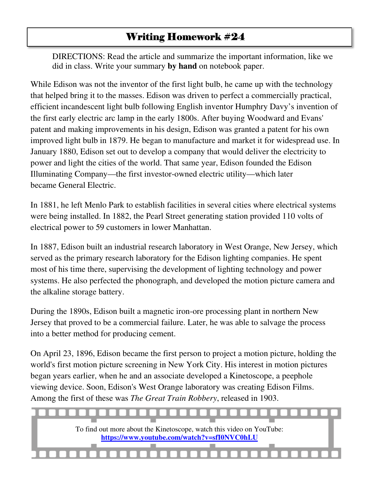## Writing Homework #24

DIRECTIONS: Read the article and summarize the important information, like we did in class. Write your summary **by hand** on notebook paper.

While Edison was not the inventor of the first light bulb, he came up with the technology that helped bring it to the masses. Edison was driven to perfect a commercially practical, efficient incandescent light bulb following English inventor Humphry Davy's invention of the first early electric arc lamp in the early 1800s. After buying Woodward and Evans' patent and making improvements in his design, Edison was granted a patent for his own improved light bulb in 1879. He began to manufacture and market it for widespread use. In January 1880, Edison set out to develop a company that would deliver the electricity to power and light the cities of the world. That same year, Edison founded the Edison Illuminating Company—the first investor-owned electric utility—which later became General Electric.

In 1881, he left Menlo Park to establish facilities in several cities where electrical systems were being installed. In 1882, the Pearl Street generating station provided 110 volts of electrical power to 59 customers in lower Manhattan.

In 1887, Edison built an industrial research laboratory in West Orange, New Jersey, which served as the primary research laboratory for the Edison lighting companies. He spent most of his time there, supervising the development of lighting technology and power systems. He also perfected the phonograph, and developed the motion picture camera and the alkaline storage battery.

During the 1890s, Edison built a magnetic iron-ore processing plant in northern New Jersey that proved to be a commercial failure. Later, he was able to salvage the process into a better method for producing cement.

On April 23, 1896, Edison became the first person to project a motion picture, holding the world's first motion picture screening in New York City. His interest in motion pictures began years earlier, when he and an associate developed a Kinetoscope, a peephole viewing device. Soon, Edison's West Orange laboratory was creating Edison Films. Among the first of these was *The Great Train Robbery*, released in 1903.

To find out more about the Kinetoscope, watch this video on YouTube: **https://www.youtube.com/watch?v=sfI0NVC0hLU**